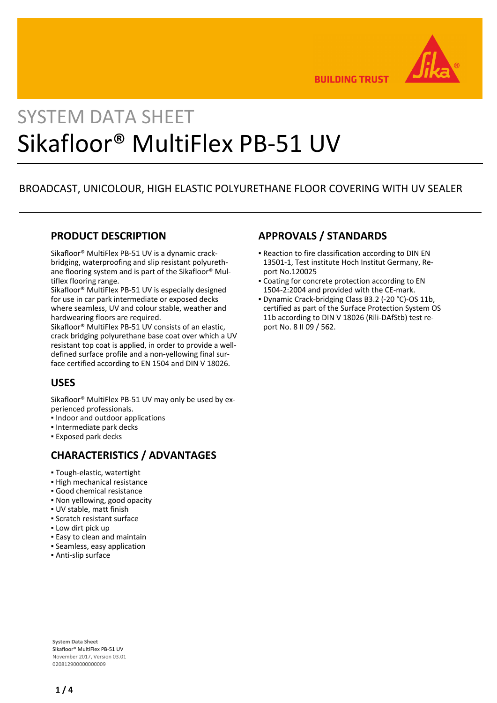

**BUILDING TRUST** 

# SYSTEM DATA SHEET Sikafloor® MultiFlex PB-51 UV

# BROADCAST, UNICOLOUR, HIGH ELASTIC POLYURETHANE FLOOR COVERING WITH UV SEALER

## **PRODUCT DESCRIPTION**

Sikafloor® MultiFlex PB-51 UV is a dynamic crackbridging, waterproofing and slip resistant polyurethane flooring system and is part of the Sikafloor® Multiflex flooring range.

Sikafloor® MultiFlex PB-51 UV is especially designed for use in car park intermediate or exposed decks where seamless, UV and colour stable, weather and hardwearing floors are required.

Sikafloor® MultiFlex PB-51 UV consists of an elastic, crack bridging polyurethane base coat over which a UV resistant top coat is applied, in order to provide a welldefined surface profile and a non-yellowing final surface certified according to EN 1504 and DIN V 18026.

# **USES**

Sikafloor® MultiFlex PB-51 UV may only be used by experienced professionals.

- Indoor and outdoor applications
- Intermediate park decks
- Exposed park decks

# **CHARACTERISTICS / ADVANTAGES**

- Tough-elastic, watertight
- High mechanical resistance
- Good chemical resistance
- Non yellowing, good opacity
- UV stable, matt finish
- Scratch resistant surface
- **.** Low dirt pick up
- **Easy to clean and maintain**
- Seamless, easy application
- Anti-slip surface

# **APPROVALS / STANDARDS**

- **Reaction to fire classification according to DIN EN** 13501-1, Test institute Hoch Institut Germany, Report No.120025
- **Coating for concrete protection according to EN** 1504-2:2004 and provided with the CE-mark.
- Dynamic Crack-bridging Class B3.2 (-20 °C)-OS 11b, certified as part of the Surface Protection System OS 11b according to DIN V 18026 (Rili-DAfStb) test report No. 8 II 09 / 562.

**System Data Sheet** Sikafloor® MultiFlex PB-51 UV November 2017, Version 03.01 020812900000000009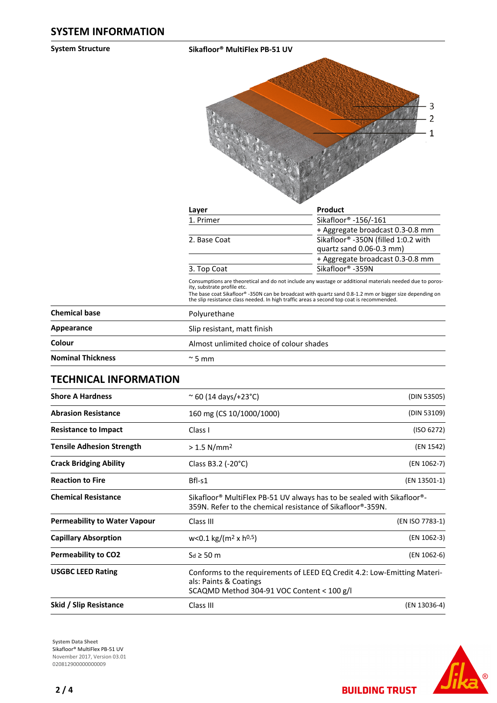**System Structure Sikafloor® MultiFlex PB-51 UV**



| Layer                       | Product                                                                                                  |
|-----------------------------|----------------------------------------------------------------------------------------------------------|
| 1. Primer                   | Sikafloor <sup>®</sup> -156/-161                                                                         |
|                             | + Aggregate broadcast 0.3-0.8 mm                                                                         |
| 2. Base Coat                | Sikafloor® -350N (filled 1:0.2 with                                                                      |
|                             | quartz sand 0.06-0.3 mm)                                                                                 |
|                             | + Aggregate broadcast 0.3-0.8 mm                                                                         |
| 3. Top Coat                 | Sikafloor <sup>®</sup> -359N                                                                             |
| ity, substrate profile etc. | Consumptions are theoretical and do not include any wastage or additional materials needed due to poros- |

The base coat Sikafloor® -350N can be broadcast with quartz sand 0.8-1.2 mm or bigger size depending on the slip resistance class needed. In high traffic areas a second top coat is recommended.

| <b>Chemical base</b>     | Polyurethane                             |  |
|--------------------------|------------------------------------------|--|
| Appearance               | Slip resistant, matt finish              |  |
| Colour                   | Almost unlimited choice of colour shades |  |
| <b>Nominal Thickness</b> | $\approx$ 5 mm                           |  |

## **TECHNICAL INFORMATION**

| <b>Shore A Hardness</b>             | $\approx$ 60 (14 days/+23°C)                                                                                                                                  |                 |
|-------------------------------------|---------------------------------------------------------------------------------------------------------------------------------------------------------------|-----------------|
| <b>Abrasion Resistance</b>          | 160 mg (CS 10/1000/1000)                                                                                                                                      | (DIN 53109)     |
| <b>Resistance to Impact</b>         | Class I                                                                                                                                                       | (ISO 6272)      |
| <b>Tensile Adhesion Strength</b>    | $> 1.5$ N/mm <sup>2</sup>                                                                                                                                     | (EN 1542)       |
| <b>Crack Bridging Ability</b>       | Class B3.2 (-20 $^{\circ}$ C)                                                                                                                                 | (EN 1062-7)     |
| <b>Reaction to Fire</b>             | Bfl-s1                                                                                                                                                        |                 |
| <b>Chemical Resistance</b>          | Sikafloor <sup>®</sup> MultiFlex PB-51 UV always has to be sealed with Sikafloor <sup>®</sup> -<br>359N. Refer to the chemical resistance of Sikafloor®-359N. |                 |
| <b>Permeability to Water Vapour</b> | Class III                                                                                                                                                     | (EN ISO 7783-1) |
| <b>Capillary Absorption</b>         | $w<0.1$ kg/(m <sup>2</sup> x h <sup>0,5</sup> )                                                                                                               |                 |
| <b>Permeability to CO2</b>          | (EN 1062-6)<br>$S_d \geq 50$ m                                                                                                                                |                 |
| <b>USGBC LEED Rating</b>            | Conforms to the requirements of LEED EQ Credit 4.2: Low-Emitting Materi-<br>als: Paints & Coatings<br>SCAQMD Method 304-91 VOC Content < 100 g/l              |                 |
| Skid / Slip Resistance              | Class III                                                                                                                                                     | (EN 13036-4)    |

**System Data Sheet** Sikafloor® MultiFlex PB-51 UV November 2017, Version 03.01 0208129000000000009



**BUILDING TRUST**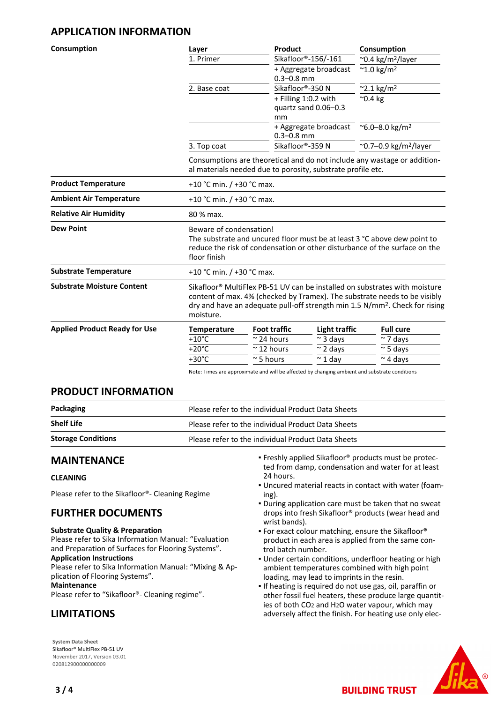## **APPLICATION INFORMATION**

| Consumption                          | Layer                                                                                                                                   | Product                                                                                                                                                                                                                                                        | Consumption                              |  |  |
|--------------------------------------|-----------------------------------------------------------------------------------------------------------------------------------------|----------------------------------------------------------------------------------------------------------------------------------------------------------------------------------------------------------------------------------------------------------------|------------------------------------------|--|--|
|                                      | 1. Primer                                                                                                                               | Sikafloor®-156/-161                                                                                                                                                                                                                                            | $\sim$ 0.4 kg/m <sup>2</sup> /layer      |  |  |
|                                      |                                                                                                                                         | + Aggregate broadcast<br>$0.3 - 0.8$ mm                                                                                                                                                                                                                        | $~^{\sim}$ 1.0 kg/m <sup>2</sup>         |  |  |
|                                      | 2. Base coat                                                                                                                            | Sikafloor®-350 N                                                                                                                                                                                                                                               | $^{\sim}$ 2.1 kg/m <sup>2</sup>          |  |  |
|                                      |                                                                                                                                         | + Filling 1:0.2 with<br>quartz sand 0.06-0.3<br>mm                                                                                                                                                                                                             | $^{\sim}$ 0.4 kg                         |  |  |
|                                      |                                                                                                                                         | + Aggregate broadcast<br>$0.3 - 0.8$ mm                                                                                                                                                                                                                        | ~6.0-8.0 kg/m <sup>2</sup>               |  |  |
|                                      | 3. Top coat                                                                                                                             | Sikafloor®-359 N                                                                                                                                                                                                                                               | ~0.7-0.9 kg/m <sup>2</sup> /layer        |  |  |
|                                      | Consumptions are theoretical and do not include any wastage or addition-<br>al materials needed due to porosity, substrate profile etc. |                                                                                                                                                                                                                                                                |                                          |  |  |
| <b>Product Temperature</b>           |                                                                                                                                         | +10 °C min. / +30 °C max.                                                                                                                                                                                                                                      |                                          |  |  |
| <b>Ambient Air Temperature</b>       |                                                                                                                                         | +10 °C min. $/$ +30 °C max.                                                                                                                                                                                                                                    |                                          |  |  |
| <b>Relative Air Humidity</b>         | 80 % max.                                                                                                                               |                                                                                                                                                                                                                                                                |                                          |  |  |
| <b>Dew Point</b>                     | floor finish                                                                                                                            | Beware of condensation!<br>The substrate and uncured floor must be at least 3 °C above dew point to<br>reduce the risk of condensation or other disturbance of the surface on the                                                                              |                                          |  |  |
| <b>Substrate Temperature</b>         | +10 °C min. $/$ +30 °C max.                                                                                                             |                                                                                                                                                                                                                                                                |                                          |  |  |
| <b>Substrate Moisture Content</b>    | moisture.                                                                                                                               | Sikafloor <sup>®</sup> MultiFlex PB-51 UV can be installed on substrates with moisture<br>content of max. 4% (checked by Tramex). The substrate needs to be visibly<br>dry and have an adequate pull-off strength min 1.5 N/mm <sup>2</sup> . Check for rising |                                          |  |  |
| <b>Applied Product Ready for Use</b> | <b>Temperature</b>                                                                                                                      | <b>Foot traffic</b>                                                                                                                                                                                                                                            | <b>Light traffic</b><br><b>Full cure</b> |  |  |
|                                      | $+10^{\circ}$ C                                                                                                                         | $\approx$ 24 hours<br>$\approx$ 3 days                                                                                                                                                                                                                         | $\sim$ 7 days                            |  |  |
|                                      | $+20^{\circ}$ C                                                                                                                         | $~\sim$ 12 hours<br>$\sim$ 2 days                                                                                                                                                                                                                              | $~\sim$ 5 days                           |  |  |
|                                      | $+30^{\circ}$ C                                                                                                                         | $\approx$ 5 hours<br>$\sim$ 1 day                                                                                                                                                                                                                              | $\sim$ 4 days                            |  |  |
|                                      |                                                                                                                                         | Note: Times are approximate and will be affected by changing ambient and substrate conditions                                                                                                                                                                  |                                          |  |  |

## **PRODUCT INFORMATION**

| Packaging                 | Please refer to the individual Product Data Sheets |  |
|---------------------------|----------------------------------------------------|--|
| <b>Shelf Life</b>         | Please refer to the individual Product Data Sheets |  |
| <b>Storage Conditions</b> | Please refer to the individual Product Data Sheets |  |

## **MAINTENANCE**

#### **CLEANING**

Please refer to the Sikafloor®- Cleaning Regime

## **FURTHER DOCUMENTS**

#### **Substrate Quality & Preparation**

Please refer to Sika Information Manual: "Evaluation and Preparation of Surfaces for Flooring Systems".

### **Application Instructions**

Please refer to Sika Information Manual: "Mixing & Application of Flooring Systems". **Maintenance**

Please refer to "Sikafloor®- Cleaning regime".

# **LIMITATIONS**

**System Data Sheet** Sikafloor® MultiFlex PB-51 UV November 2017, Version 03.01 020812900000000009

- Freshly applied Sikafloor® products must be protec-▪ ted from damp, condensation and water for at least 24 hours.
- Uncured material reacts in contact with water (foam-▪ ing).
- During application care must be taken that no sweat drops into fresh Sikafloor® products (wear head and wrist bands).
- **For exact colour matching, ensure the Sikafloor®** product in each area is applied from the same control batch number.
- Under certain conditions, underfloor heating or high ambient temperatures combined with high point loading, may lead to imprints in the resin.
- If heating is required do not use gas, oil, paraffin or other fossil fuel heaters, these produce large quantities of both CO2 and H2O water vapour, which may adversely affect the finish. For heating use only elec-

**BUILDING TRUST**